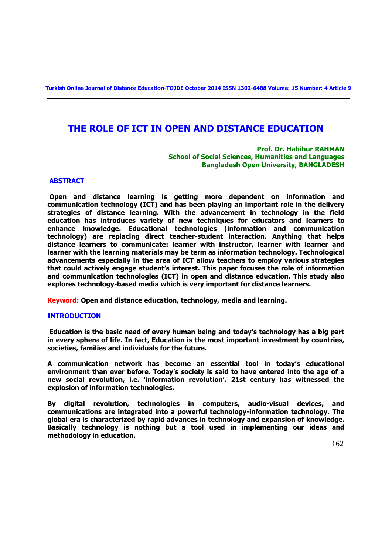**Turkish Online Journal of Distance Education-TOJDE October 2014 ISSN 1302-6488 Volume: 15 Number: 4 Article 9**

# **THE ROLE OF ICT IN OPEN AND DISTANCE EDUCATION**

 **Prof. Dr. Habibur RAHMAN School of Social Sciences, Humanities and Languages Bangladesh Open University, BANGLADESH** 

#### **ABSTRACT**

**Open and distance learning is getting more dependent on information and communication technology (ICT) and has been playing an important role in the delivery strategies of distance learning. With the advancement in technology in the field education has introduces variety of new techniques for educators and learners to enhance knowledge. Educational technologies (information and communication technology) are replacing direct teacher-student interaction. Anything that helps distance learners to communicate: learner with instructor, learner with learner and learner with the learning materials may be term as information technology. Technological advancements especially in the area of ICT allow teachers to employ various strategies that could actively engage student's interest. This paper focuses the role of information and communication technologies (ICT) in open and distance education. This study also explores technology-based media which is very important for distance learners.** 

**Keyword: Open and distance education, technology, media and learning.**

#### **INTRODUCTION**

**Education is the basic need of every human being and today's technology has a big part in every sphere of life. In fact, Education is the most important investment by countries, societies, families and individuals for the future.** 

**A communication network has become an essential tool in today's educational environment than ever before. Today's society is said to have entered into the age of a new social revolution, i.e. 'information revolution'. 21st century has witnessed the explosion of information technologies.** 

**By digital revolution, technologies in computers, audio-visual devices, and communications are integrated into a powerful technology-information technology. The global era is characterized by rapid advances in technology and expansion of knowledge. Basically technology is nothing but a tool used in implementing our ideas and methodology in education.**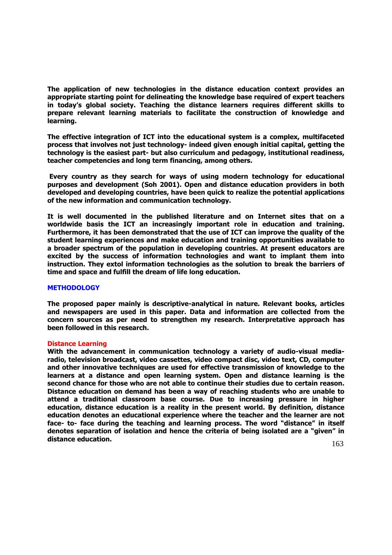**The application of new technologies in the distance education context provides an appropriate starting point for delineating the knowledge base required of expert teachers in today's global society. Teaching the distance learners requires different skills to prepare relevant learning materials to facilitate the construction of knowledge and learning.** 

**The effective integration of ICT into the educational system is a complex, multifaceted process that involves not just technology- indeed given enough initial capital, getting the technology is the easiest part- but also curriculum and pedagogy, institutional readiness, teacher competencies and long term financing, among others.** 

**Every country as they search for ways of using modern technology for educational purposes and development (Soh 2001). Open and distance education providers in both developed and developing countries, have been quick to realize the potential applications of the new information and communication technology.** 

**It is well documented in the published literature and on Internet sites that on a worldwide basis the ICT an increasingly important role in education and training. Furthermore, it has been demonstrated that the use of ICT can improve the quality of the student learning experiences and make education and training opportunities available to a broader spectrum of the population in developing countries. At present educators are excited by the success of information technologies and want to implant them into instruction. They extol information technologies as the solution to break the barriers of time and space and fulfill the dream of life long education.**

#### **METHODOLOGY**

**The proposed paper mainly is descriptive-analytical in nature. Relevant books, articles and newspapers are used in this paper. Data and information are collected from the concern sources as per need to strengthen my research. Interpretative approach has been followed in this research.** 

#### **Distance Learning**

**With the advancement in communication technology a variety of audio-visual mediaradio, television broadcast, video cassettes, video compact disc, video text, CD, computer and other innovative techniques are used for effective transmission of knowledge to the learners at a distance and open learning system. Open and distance learning is the second chance for those who are not able to continue their studies due to certain reason. Distance education on demand has been a way of reaching students who are unable to attend a traditional classroom base course. Due to increasing pressure in higher education, distance education is a reality in the present world. By definition, distance education denotes an educational experience where the teacher and the learner are not face- to- face during the teaching and learning process. The word "distance" in itself denotes separation of isolation and hence the criteria of being isolated are a "given" in distance education.**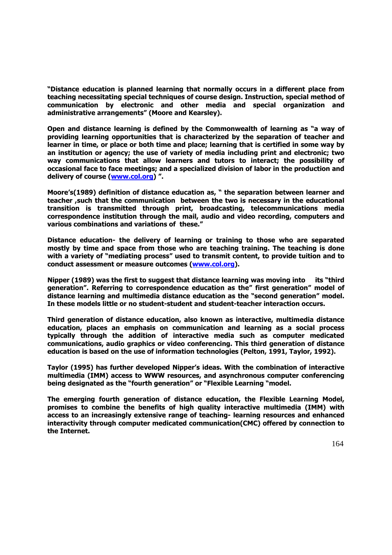**"Distance education is planned learning that normally occurs in a different place from teaching necessitating special techniques of course design. Instruction, special method of communication by electronic and other media and special organization and administrative arrangements" (Moore and Kearsley).**

**Open and distance learning is defined by the Commonwealth of learning as "a way of providing learning opportunities that is characterized by the separation of teacher and learner in time, or place or both time and place; learning that is certified in some way by an institution or agency; the use of variety of media including print and electronic; two way communications that allow learners and tutors to interact; the possibility of occasional face to face meetings; and a specialized division of labor in the production and delivery of course [\(www.col.org](http://www.col.org/)) ".**

**Moore's(1989) definition of distance education as, " the separation between learner and teacher ,such that the communication between the two is necessary in the educational transition is transmitted through print, broadcasting, telecommunications media correspondence institution through the mail, audio and video recording, computers and various combinations and variations of these."** 

**Distance education- the delivery of learning or training to those who are separated mostly by time and space from those who are teaching training. The teaching is done with a variety of "mediating process" used to transmit content, to provide tuition and to conduct assessment or measure outcomes [\(www.col.org\)](http://www.col.org/).**

**Nipper (1989) was the first to suggest that distance learning was moving into its "third generation". Referring to correspondence education as the" first generation" model of distance learning and multimedia distance education as the "second generation" model. In these models little or no student-student and student-teacher interaction occurs.** 

**Third generation of distance education, also known as interactive, multimedia distance education, places an emphasis on communication and learning as a social process typically through the addition of interactive media such as computer medicated communications, audio graphics or video conferencing. This third generation of distance education is based on the use of information technologies (Pelton, 1991, Taylor, 1992).** 

**Taylor (1995) has further developed Nipper's ideas. With the combination of interactive multimedia (IMM) access to WWW resources, and asynchronous computer conferencing being designated as the "fourth generation" or "Flexible Learning "model.** 

**The emerging fourth generation of distance education, the Flexible Learning Model, promises to combine the benefits of high quality interactive multimedia (IMM) with access to an increasingly extensive range of teaching- learning resources and enhanced interactivity through computer medicated communication(CMC) offered by connection to the Internet.**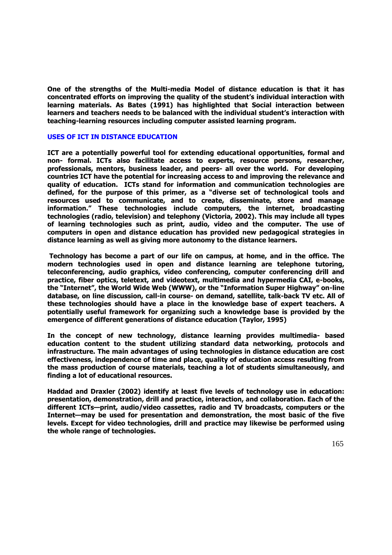**One of the strengths of the Multi-media Model of distance education is that it has concentrated efforts on improving the quality of the student's individual interaction with learning materials. As Bates (1991) has highlighted that Social interaction between learners and teachers needs to be balanced with the individual student's interaction with teaching-learning resources including computer assisted learning program.**

### **USES OF ICT IN DISTANCE EDUCATION**

**ICT are a potentially powerful tool for extending educational opportunities, formal and non- formal. ICTs also facilitate access to experts, resource persons, researcher, professionals, mentors, business leader, and peers- all over the world. For developing countries ICT have the potential for increasing access to and improving the relevance and quality of education. ICTs stand for information and communication technologies are defined, for the purpose of this primer, as a "diverse set of technological tools and resources used to communicate, and to create, disseminate, store and manage information." These technologies include computers, the internet, broadcasting technologies (radio, television) and telephony (Victoria, 2002). This may include all types of learning technologies such as print, audio, video and the computer. The use of computers in open and distance education has provided new pedagogical strategies in distance learning as well as giving more autonomy to the distance learners.**

**Technology has become a part of our life on campus, at home, and in the office. The modern technologies used in open and distance learning are telephone tutoring, teleconferencing, audio graphics, video conferencing, computer conferencing drill and practice, fiber optics, teletext, and videotext, multimedia and hypermedia CAI, e-books, the "Internet", the World Wide Web (WWW), or the "Information Super Highway" on-line database, on line discussion, call-in course- on demand, satellite, talk-back TV etc. All of these technologies should have a place in the knowledge base of expert teachers. A potentially useful framework for organizing such a knowledge base is provided by the emergence of different generations of distance education (Taylor, 1995)**

**In the concept of new technology, distance learning provides multimedia- based education content to the student utilizing standard data networking, protocols and infrastructure. The main advantages of using technologies in distance education are cost effectiveness, independence of time and place, quality of education access resulting from the mass production of course materials, teaching a lot of students simultaneously, and finding a lot of educational resources.** 

**Haddad and Draxler (2002) identify at least five levels of technology use in education: presentation, demonstration, drill and practice, interaction, and collaboration. Each of the different ICTs—print, audio/video cassettes, radio and TV broadcasts, computers or the Internet—may be used for presentation and demonstration, the most basic of the five levels. Except for video technologies, drill and practice may likewise be performed using the whole range of technologies.**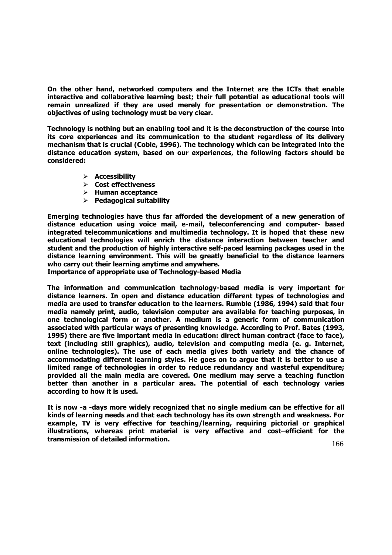**On the other hand, networked computers and the Internet are the ICTs that enable interactive and collaborative learning best; their full potential as educational tools will remain unrealized if they are used merely for presentation or demonstration. The objectives of using technology must be very clear.**

**Technology is nothing but an enabling tool and it is the deconstruction of the course into its core experiences and its communication to the student regardless of its delivery mechanism that is crucial (Coble, 1996). The technology which can be integrated into the distance education system, based on our experiences, the following factors should be considered:**

- **Accessibility**
- **Cost effectiveness**
- **Human acceptance**
- **Pedagogical suitability**

**Emerging technologies have thus far afforded the development of a new generation of distance education using voice mail, e-mail, teleconferencing and computer- based integrated telecommunications and multimedia technology. It is hoped that these new educational technologies will enrich the distance interaction between teacher and student and the production of highly interactive self-paced learning packages used in the distance learning environment. This will be greatly beneficial to the distance learners who carry out their learning anytime and anywhere.**

**Importance of appropriate use of Technology-based Media** 

**The information and communication technology-based media is very important for distance learners. In open and distance education different types of technologies and media are used to transfer education to the learners. Rumble (1986, 1994) said that four media namely print, audio, television computer are available for teaching purposes, in one technological form or another. A medium is a generic form of communication associated with particular ways of presenting knowledge. According to Prof. Bates (1993, 1995) there are five important media in education: direct human contract (face to face), text (including still graphics), audio, television and computing media (e. g. Internet, online technologies). The use of each media gives both variety and the chance of accommodating different learning styles. He goes on to argue that it is better to use a limited range of technologies in order to reduce redundancy and wasteful expenditure; provided all the main media are covered. One medium may serve a teaching function better than another in a particular area. The potential of each technology varies according to how it is used.**

**It is now -a -days more widely recognized that no single medium can be effective for all kinds of learning needs and that each technology has its own strength and weakness. For example, TV is very effective for teaching/learning, requiring pictorial or graphical illustrations, whereas print material is very effective and cost–efficient for the transmission of detailed information.**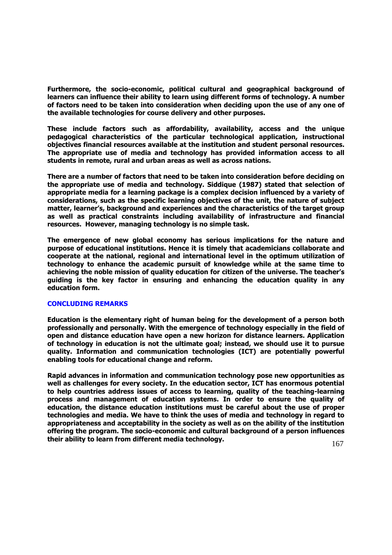**Furthermore, the socio-economic, political cultural and geographical background of learners can influence their ability to learn using different forms of technology. A number of factors need to be taken into consideration when deciding upon the use of any one of the available technologies for course delivery and other purposes.** 

**These include factors such as affordability, availability, access and the unique pedagogical characteristics of the particular technological application, instructional objectives financial resources available at the institution and student personal resources. The appropriate use of media and technology has provided information access to all students in remote, rural and urban areas as well as across nations.**

**There are a number of factors that need to be taken into consideration before deciding on the appropriate use of media and technology. Siddique (1987) stated that selection of appropriate media for a learning package is a complex decision influenced by a variety of considerations, such as the specific learning objectives of the unit, the nature of subject matter, learner's, background and experiences and the characteristics of the target group as well as practical constraints including availability of infrastructure and financial resources. However, managing technology is no simple task.**

**The emergence of new global economy has serious implications for the nature and purpose of educational institutions. Hence it is timely that academicians collaborate and cooperate at the national, regional and international level in the optimum utilization of technology to enhance the academic pursuit of knowledge while at the same time to achieving the noble mission of quality education for citizen of the universe. The teacher's guiding is the key factor in ensuring and enhancing the education quality in any education form.**

#### **CONCLUDING REMARKS**

**Education is the elementary right of human being for the development of a person both professionally and personally. With the emergence of technology especially in the field of open and distance education have open a new horizon for distance learners. Application of technology in education is not the ultimate goal; instead, we should use it to pursue quality. Information and communication technologies (ICT) are potentially powerful enabling tools for educational change and reform.** 

**Rapid advances in information and communication technology pose new opportunities as well as challenges for every society. In the education sector, ICT has enormous potential to help countries address issues of access to learning, quality of the teaching-learning process and management of education systems. In order to ensure the quality of education, the distance education institutions must be careful about the use of proper technologies and media. We have to think the uses of media and technology in regard to appropriateness and acceptability in the society as well as on the ability of the institution offering the program. The socio-economic and cultural background of a person influences their ability to learn from different media technology.**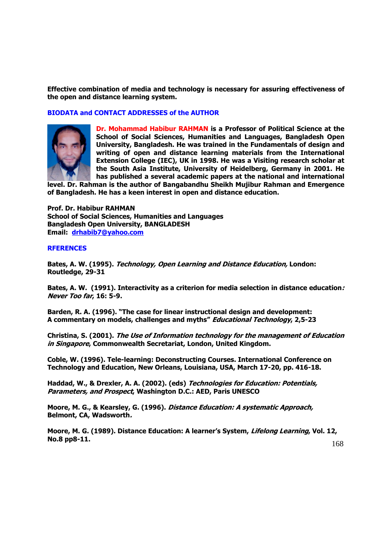**Effective combination of media and technology is necessary for assuring effectiveness of the open and distance learning system.**

## **BIODATA and CONTACT ADDRESSES of the AUTHOR**



**Dr. Mohammad Habibur RAHMAN is a Professor of Political Science at the School of Social Sciences, Humanities and Languages, Bangladesh Open University, Bangladesh. He was trained in the Fundamentals of design and writing of open and distance learning materials from the International Extension College (IEC), UK in 1998. He was a Visiting research scholar at the South Asia Institute, University of Heidelberg, Germany in 2001. He has published a several academic papers at the national and international** 

**level. Dr. Rahman is the author of Bangabandhu Sheikh Mujibur Rahman and Emergence of Bangladesh. He has a keen interest in open and distance education.**

**Prof. Dr. Habibur RAHMAN School of Social Sciences, Humanities and Languages Bangladesh Open University, BANGLADESH Email: [drhabib7@yahoo.com](mailto:drhabib7@yahoo.com)**

## **RFERENCES**

**Bates, A. W. (1995). Technology, Open Learning and Distance Education, London: Routledge, 29-31**

**Bates, A. W. (1991). Interactivity as a criterion for media selection in distance education: Never Too far, 16: 5-9.**

**Barden, R. A. (1996). "The case for linear instructional design and development: A commentary on models, challenges and myths" Educational Technology, 2,5-23**

**Christina, S. (2001). The Use of Information technology for the management of Education in Singapore, Commonwealth Secretariat, London, United Kingdom.**

**Coble, W. (1996). Tele-learning: Deconstructing Courses. International Conference on Technology and Education, New Orleans, Louisiana, USA, March 17-20, pp. 416-18.**

**Haddad, W., & Drexler, A. A. (2002). (eds) Technologies for Education: Potentials, Parameters, and Prospect, Washington D.C.: AED, Paris UNESCO**

**Moore, M. G., & Kearsley, G. (1996). Distance Education: A systematic Approach, Belmont, CA, Wadsworth.**

**Moore, M. G. (1989). Distance Education: A learner's System, Lifelong Learning, Vol. 12, No.8 pp8-11.**

168